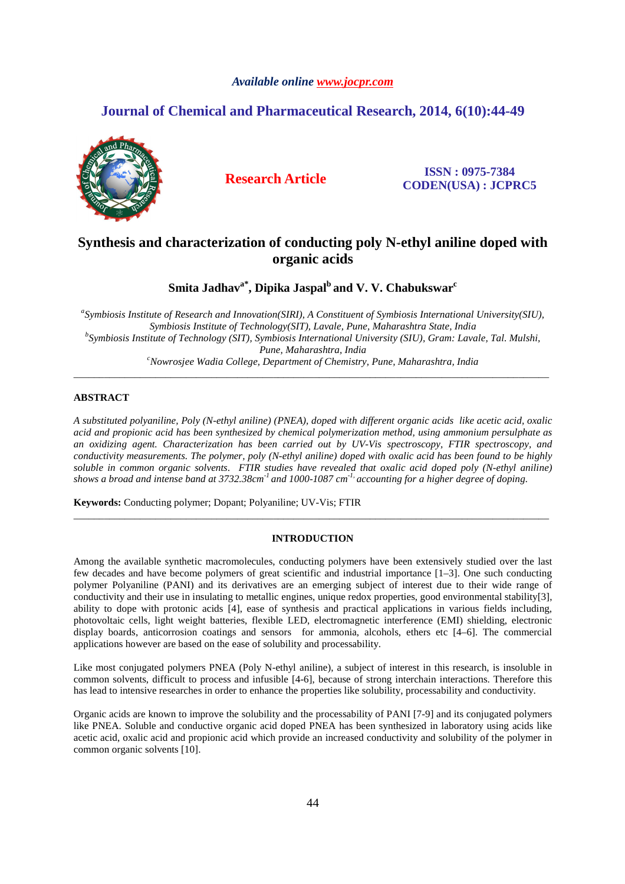# *Available online www.jocpr.com*

# **Journal of Chemical and Pharmaceutical Research, 2014, 6(10):44-49**



**Research Article ISSN : 0975-7384 CODEN(USA) : JCPRC5**

# **Synthesis and characterization of conducting poly N-ethyl aniline doped with organic acids**

**Smita Jadhava\*, Dipika Jaspal<sup>b</sup>and V. V. Chabukswar<sup>c</sup>**

*a Symbiosis Institute of Research and Innovation(SIRI), A Constituent of Symbiosis International University(SIU), Symbiosis Institute of Technology(SIT), Lavale, Pune, Maharashtra State, India b Symbiosis Institute of Technology (SIT), Symbiosis International University (SIU), Gram: Lavale, Tal. Mulshi, Pune, Maharashtra, India <sup>c</sup>Nowrosjee Wadia College, Department of Chemistry, Pune, Maharashtra, India* 

\_\_\_\_\_\_\_\_\_\_\_\_\_\_\_\_\_\_\_\_\_\_\_\_\_\_\_\_\_\_\_\_\_\_\_\_\_\_\_\_\_\_\_\_\_\_\_\_\_\_\_\_\_\_\_\_\_\_\_\_\_\_\_\_\_\_\_\_\_\_\_\_\_\_\_\_\_\_\_\_\_\_\_\_\_\_\_\_\_\_\_\_\_

## **ABSTRACT**

*A substituted polyaniline, Poly (N-ethyl aniline) (PNEA), doped with different organic acids like acetic acid, oxalic acid and propionic acid has been synthesized by chemical polymerization method, using ammonium persulphate as an oxidizing agent. Characterization has been carried out by UV-Vis spectroscopy, FTIR spectroscopy, and conductivity measurements. The polymer, poly (N-ethyl aniline) doped with oxalic acid has been found to be highly soluble in common organic solvents. FTIR studies have revealed that oxalic acid doped poly (N-ethyl aniline) shows a broad and intense band at 3732.38cm-1 and 1000-1087 cm-1, accounting for a higher degree of doping.* 

**Keywords:** Conducting polymer; Dopant; Polyaniline; UV-Vis; FTIR

## **INTRODUCTION**

\_\_\_\_\_\_\_\_\_\_\_\_\_\_\_\_\_\_\_\_\_\_\_\_\_\_\_\_\_\_\_\_\_\_\_\_\_\_\_\_\_\_\_\_\_\_\_\_\_\_\_\_\_\_\_\_\_\_\_\_\_\_\_\_\_\_\_\_\_\_\_\_\_\_\_\_\_\_\_\_\_\_\_\_\_\_\_\_\_\_\_\_\_

Among the available synthetic macromolecules, conducting polymers have been extensively studied over the last few decades and have become polymers of great scientific and industrial importance [1–3]. One such conducting polymer Polyaniline (PANI) and its derivatives are an emerging subject of interest due to their wide range of conductivity and their use in insulating to metallic engines, unique redox properties, good environmental stability[3], ability to dope with protonic acids [4], ease of synthesis and practical applications in various fields including, photovoltaic cells, light weight batteries, flexible LED, electromagnetic interference (EMI) shielding, electronic display boards, anticorrosion coatings and sensors for ammonia, alcohols, ethers etc [4–6]. The commercial applications however are based on the ease of solubility and processability.

Like most conjugated polymers PNEA (Poly N-ethyl aniline), a subject of interest in this research, is insoluble in common solvents, difficult to process and infusible [4-6], because of strong interchain interactions. Therefore this has lead to intensive researches in order to enhance the properties like solubility, processability and conductivity.

Organic acids are known to improve the solubility and the processability of PANI [7-9] and its conjugated polymers like PNEA. Soluble and conductive organic acid doped PNEA has been synthesized in laboratory using acids like acetic acid, oxalic acid and propionic acid which provide an increased conductivity and solubility of the polymer in common organic solvents [10].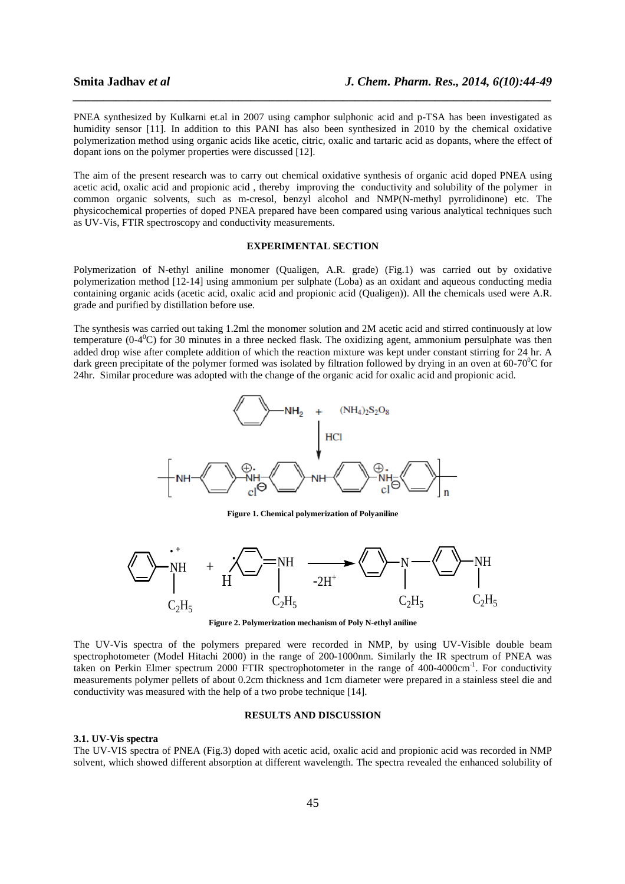PNEA synthesized by Kulkarni et.al in 2007 using camphor sulphonic acid and p-TSA has been investigated as humidity sensor [11]. In addition to this PANI has also been synthesized in 2010 by the chemical oxidative polymerization method using organic acids like acetic, citric, oxalic and tartaric acid as dopants, where the effect of dopant ions on the polymer properties were discussed [12].

*\_\_\_\_\_\_\_\_\_\_\_\_\_\_\_\_\_\_\_\_\_\_\_\_\_\_\_\_\_\_\_\_\_\_\_\_\_\_\_\_\_\_\_\_\_\_\_\_\_\_\_\_\_\_\_\_\_\_\_\_\_\_\_\_\_\_\_\_\_\_\_\_\_\_\_\_\_\_*

The aim of the present research was to carry out chemical oxidative synthesis of organic acid doped PNEA using acetic acid, oxalic acid and propionic acid , thereby improving the conductivity and solubility of the polymer in common organic solvents, such as m-cresol, benzyl alcohol and NMP(N-methyl pyrrolidinone) etc. The physicochemical properties of doped PNEA prepared have been compared using various analytical techniques such as UV-Vis, FTIR spectroscopy and conductivity measurements.

# **EXPERIMENTAL SECTION**

Polymerization of N-ethyl aniline monomer (Qualigen, A.R. grade) (Fig.1) was carried out by oxidative polymerization method [12-14] using ammonium per sulphate (Loba) as an oxidant and aqueous conducting media containing organic acids (acetic acid, oxalic acid and propionic acid (Qualigen)). All the chemicals used were A.R. grade and purified by distillation before use.

The synthesis was carried out taking 1.2ml the monomer solution and 2M acetic acid and stirred continuously at low temperature ( $0-4^{\circ}$ C) for 30 minutes in a three necked flask. The oxidizing agent, ammonium persulphate was then added drop wise after complete addition of which the reaction mixture was kept under constant stirring for 24 hr. A dark green precipitate of the polymer formed was isolated by filtration followed by drying in an oven at  $60-70^{\circ}$ C for 24hr. Similar procedure was adopted with the change of the organic acid for oxalic acid and propionic acid.



**Figure 1. Chemical polymerization of Polyaniline** 



**Figure 2. Polymerization mechanism of Poly N-ethyl aniline** 

The UV-Vis spectra of the polymers prepared were recorded in NMP, by using UV-Visible double beam spectrophotometer (Model Hitachi 2000) in the range of 200-1000nm. Similarly the IR spectrum of PNEA was taken on Perkin Elmer spectrum 2000 FTIR spectrophotometer in the range of 400-4000cm<sup>-1</sup>. For conductivity measurements polymer pellets of about 0.2cm thickness and 1cm diameter were prepared in a stainless steel die and conductivity was measured with the help of a two probe technique [14].

#### **RESULTS AND DISCUSSION**

### **3.1. UV-Vis spectra**

The UV-VIS spectra of PNEA (Fig.3) doped with acetic acid, oxalic acid and propionic acid was recorded in NMP solvent, which showed different absorption at different wavelength. The spectra revealed the enhanced solubility of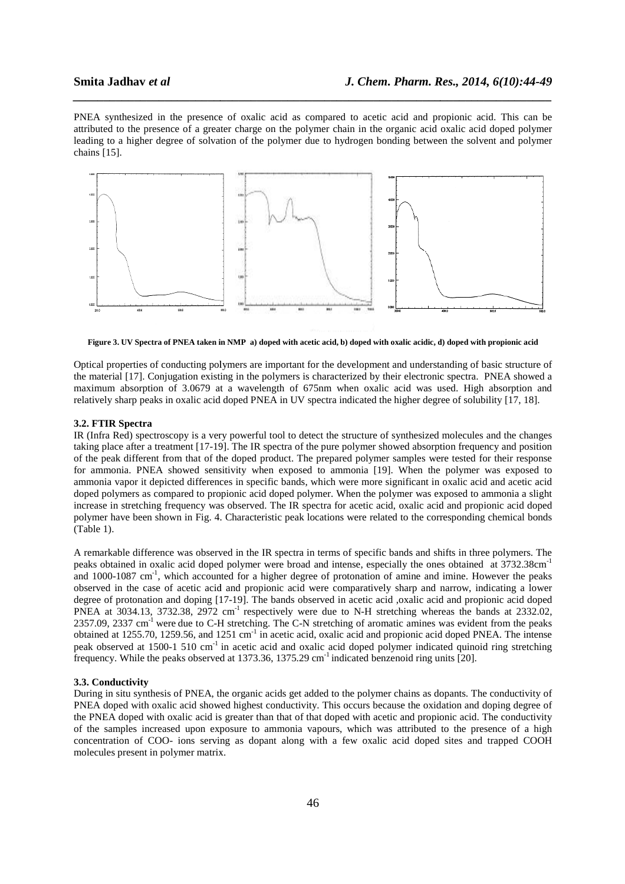PNEA synthesized in the presence of oxalic acid as compared to acetic acid and propionic acid. This can be attributed to the presence of a greater charge on the polymer chain in the organic acid oxalic acid doped polymer attributed to the presence of a greater charge on the polymer chain in the organic acid oxalic acid doped polymer<br>leading to a higher degree of solvation of the polymer due to hydrogen bonding between the solvent and polym chains [15].

*\_\_\_\_\_\_\_\_\_\_\_\_\_\_\_\_\_\_\_\_\_\_\_\_\_\_\_\_\_\_\_\_\_\_\_\_\_\_\_\_\_\_\_\_\_\_\_\_\_\_\_\_\_\_\_\_\_\_\_\_\_\_\_\_\_\_\_\_\_\_\_\_\_\_\_\_\_\_*



**Figure 3. UV Spectra of PNEA taken in NMP** a) doped with acetic acid, b) doped with oxalic acidic, d) doped with propionic acid

Optical properties of conducting polymers are important for the development and understanding of basic structure of the material [17]. Conjugation existing in the polymers is characterized by their electronic spectra. PNEA showed a maximum absorption of 3.0679 at a wavelength of 675nm when oxalic acid was used. High absorption and maximum absorption of 3.0679 at a wavelength of 675nm when oxalic acid was used. High absorption and melatively sharp peaks in oxalic acid doped PNEA in UV spectra indicated the higher degree of solubility [17, 18]. ners are important for the development and understanding of basic structure of<br>
i in the polymers is characterized by their electronic spectra. PNEA showed a<br>
i wavelength of 675nm when oxalic acid was used. High absorptio

### **3.2. FTIR Spectra**

IR (Infra Red) spectroscopy is a very powerful tool to detect the structure of synthesized molecules and the changes IR (Infra Red) spectroscopy is a very powerful tool to detect the structure of synthesized molecules and the changes<br>taking place after a treatment [17-19]. The IR spectra of the pure polymer showed absorption frequency an of the peak different from that of the doped product. The prepared polymer samples were tested for their response for ammonia. PNEA showed sensitivity when exposed to ammonia [19]. When the polymer was exposed to ammonia vapor it depicted differences in specific bands, which were more significant in oxalic acid and acetic acid doped polymers as compared to propionic acid doped polymer. When the polymer was exposed to ammonia a slight increase in stretching frequency was observed. The IR spectra for acetic acid, oxalic acid and propionic acid doped polymer have been shown in Fig. 4. Characteristic peak locations were related to the corresponding chemical bonds (Table 1). ammonia vapor it depicted differences in specific bands, which were more significant in oxalic acid and acetic acid<br>doped polymers as compared to propionic acid doped polymer. When the polymer was exposed to ammonia a slig of the peak different from that of the doped product. The prepared polymer samples were tested for their response<br>for ammonia. PNEA showed sensitivity when exposed to ammonia [19]. When the polymer was exposed to<br>ammonia v

A remarkable difference was observed in the IR spectra in terms of specific bands and shifts in three polymers. The and  $1000-1087$  cm<sup>-1</sup>, which accounted for a higher degree of protonation of amine and imine. However the peaks observed in the case of acetic acid and propionic acid were comparatively sharp and narrow, indicating a lower and 1000-1087 cm<sup>-1</sup>, which accounted for a higher degree of protonation of amine and imine. However the peaks observed in the case of acetic acid and propionic acid were comparatively sharp and narrow, indicating a lower PNEA at 3034.13, 3732.38, 2972 cm<sup>-1</sup> respectively were due to N-H stretching whereas the bands at 2332.02, 2357.09, 2337 cm<sup>-1</sup> were due to C-H stretching. The C-N stretching of aromatic amines was evident from the peaks obtained at 1255.70, 1259.56, and 1251 cm<sup>-1</sup> in acetic acid, oxalic acid and propionic acid doped PNEA. The intense peak observed at 1500-1 510 cm<sup>-1</sup> in acetic acid and oxalic acid doped polymer indicated quinoid ring stretching frequency. While the peaks observed at 1373.36, 1375.29  $cm^{-1}$  indicated benzenoid ring units [20]. vere due to N-H stretching whereas the bands at 2332.02,<br>N stretching of aromatic amines was evident from the peaks<br>cid, oxalic acid and propionic acid doped PNEA. The intense<br>oxalic acid doped polymer indicated quinoid ri

#### **3.3. Conductivity**

During in situ synthesis of PNEA, the organic acids get added to the polymer chains as dopants. The conductivity of PNEA doped with oxalic acid showed highest conductivity. This occurs because the oxidation and doping degree of the PNEA doped with oxalic acid is greater than that of that doped with acetic and propionic acid. The conductivity of the samples increased upon exposure to ammonia vapours, which was attributed to the presence of a high concentration of COO- ions serving as dopant along with a few oxalic acid doped sites and trapped COOH molecules present in polymer matrix. ic acids get added to the polymer chains as dopants. The conductivity of st conductivity. This occurs because the oxidation and doping degree of than that of that doped with acetic and propionic acid. The conductivity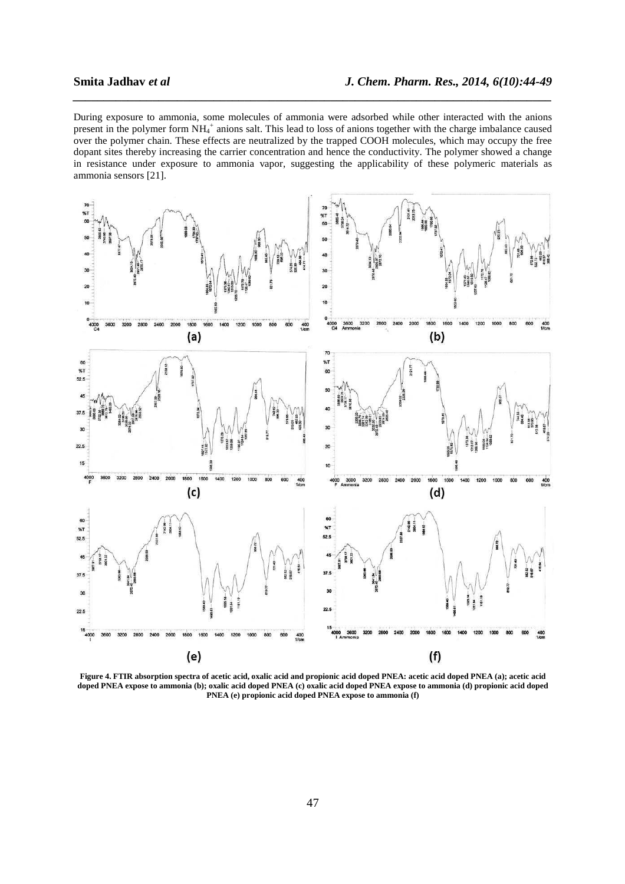During exposure to ammonia, some molecules of ammonia were adsorbed while other interacted with the anions present in the polymer form NH<sub>4</sub><sup>+</sup> anions salt. This lead to loss of anions together with the charge imbalance caused over the polymer chain. These effects are neutralized by the trapped COOH molecules, which may occupy the free dopant sites thereby increasing the carrier concentration and hence the conductivity. The polymer showed a change in resistance under exposure to ammonia vapor, suggesting the applicability of these polymeric materials as ammonia sensors [21].

*\_\_\_\_\_\_\_\_\_\_\_\_\_\_\_\_\_\_\_\_\_\_\_\_\_\_\_\_\_\_\_\_\_\_\_\_\_\_\_\_\_\_\_\_\_\_\_\_\_\_\_\_\_\_\_\_\_\_\_\_\_\_\_\_\_\_\_\_\_\_\_\_\_\_\_\_\_\_*



**Figure 4. FTIR absorption spectra of acetic acid, oxalic acid and propionic acid doped PNEA: acetic acid doped PNEA (a); acetic acid doped PNEA expose to ammonia (b); oxalic acid doped PNEA (c) oxalic acid doped PNEA expose to ammonia (d) propionic acid doped PNEA (e) propionic acid doped PNEA expose to ammonia (f)**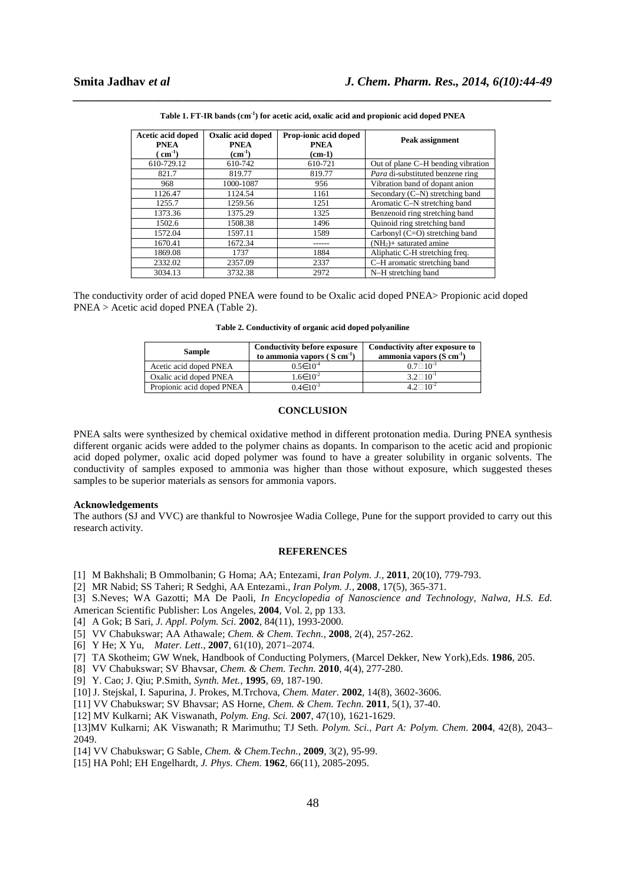| Acetic acid doped<br><b>PNEA</b> | Oxalic acid doped<br><b>PNEA</b> | Prop-ionic acid doped<br><b>PNEA</b> | Peak assignment                    |
|----------------------------------|----------------------------------|--------------------------------------|------------------------------------|
| $(m^{-1})$                       | $\rm (cm^{-1})$                  | $(cm-1)$                             |                                    |
| 610-729.12                       | 610-742                          | 610-721                              | Out of plane C-H bending vibration |
| 821.7                            | 819.77                           | 819.77                               | Para di-substituted benzene ring   |
| 968                              | 1000-1087                        | 956                                  | Vibration band of dopant anion     |
| 1126.47                          | 1124.54                          | 1161                                 | Secondary (C-N) stretching band    |
| 1255.7                           | 1259.56                          | 1251                                 | Aromatic C-N stretching band       |
| 1373.36                          | 1375.29                          | 1325                                 | Benzenoid ring stretching band     |
| 1502.6                           | 1508.38                          | 1496                                 | Quinoid ring stretching band       |
| 1572.04                          | 1597.11                          | 1589                                 | Carbonyl $(C=O)$ stretching band   |
| 1670.41                          | 1672.34                          |                                      | $(NH2)$ + saturated amine          |
| 1869.08                          | 1737                             | 1884                                 | Aliphatic C-H stretching freq.     |
| 2332.02                          | 2357.09                          | 2337                                 | C-H aromatic stretching band       |
| 3034.13                          | 3732.38                          | 2972                                 | N-H stretching band                |

*\_\_\_\_\_\_\_\_\_\_\_\_\_\_\_\_\_\_\_\_\_\_\_\_\_\_\_\_\_\_\_\_\_\_\_\_\_\_\_\_\_\_\_\_\_\_\_\_\_\_\_\_\_\_\_\_\_\_\_\_\_\_\_\_\_\_\_\_\_\_\_\_\_\_\_\_\_\_* **Table 1. FT-IR bands (cm-1) for acetic acid, oxalic acid and propionic acid doped PNEA** 

The conductivity order of acid doped PNEA were found to be Oxalic acid doped PNEA> Propionic acid doped PNEA > Acetic acid doped PNEA (Table 2).

**Table 2. Conductivity of organic acid doped polyaniline** 

| Sample                    | <b>Conductivity before exposure</b><br>to ammonia vapors $(S \text{ cm}^{-1})$ | Conductivity after exposure to<br>ammonia vapors $(S \text{ cm}^{-1})$ |
|---------------------------|--------------------------------------------------------------------------------|------------------------------------------------------------------------|
| Acetic acid doped PNEA    | $0.5 \in 10^{-4}$                                                              | $10^{-3}$                                                              |
| Oxalic acid doped PNEA    | $1.6 \in 10^{-2}$                                                              | $3.2 \quad 10^{-1}$                                                    |
| Propionic acid doped PNEA | $0.4 \in 10^{-3}$                                                              | $10^{-2}$                                                              |

# **CONCLUSION**

PNEA salts were synthesized by chemical oxidative method in different protonation media. During PNEA synthesis different organic acids were added to the polymer chains as dopants. In comparison to the acetic acid and propionic acid doped polymer, oxalic acid doped polymer was found to have a greater solubility in organic solvents. The conductivity of samples exposed to ammonia was higher than those without exposure, which suggested theses samples to be superior materials as sensors for ammonia vapors.

#### **Acknowledgements**

The authors (SJ and VVC) are thankful to Nowrosjee Wadia College, Pune for the support provided to carry out this research activity.

#### **REFERENCES**

- [1] M Bakhshali; B Ommolbanin; G Homa; AA; Entezami, *Iran Polym. J.,* **2011**, 20(10), 779-793.
- [2] MR Nabid; SS Taheri; R Sedghi, AA Entezami., *Iran Polym. J.,* **2008**, 17(5), 365-371.
- [3] S.Neves; WA Gazotti; MA De Paoli, *In Encyclopedia of Nanoscience and Technology, Nalwa, H.S. Ed.*  American Scientific Publisher: Los Angeles, **2004**, Vol. 2, pp 133.
- [4] A Gok; B Sari, *J. Appl. Polym. Sci.* **2002**, 84(11), 1993-2000.
- [5] VV Chabukswar; AA Athawale; *Chem. & Chem. Techn.,* **2008**, 2(4), 257-262.
- [6] Y He; X Yu, *Mater. Lett*., **2007**, 61(10), 2071–2074.
- [7] TA Skotheim; GW Wnek, Handbook of Conducting Polymers, (Marcel Dekker, New York),Eds. **1986**, 205.
- [8] VV Chabukswar; SV Bhavsar, *Chem. & Chem. Techn.* **2010**, 4(4), 277-280.
- [9] Y. Cao; J. Qiu; P.Smith, *Synth. Met.*, **1995**, 69, 187-190.
- [10] J. Stejskal, I. Sapurina, J. Prokes, M.Trchova, *Chem. Mater*. **2002**, 14(8), 3602-3606.
- [11] VV Chabukswar; SV Bhavsar; AS Horne, *Chem. & Chem. Techn.* **2011**, 5(1), 37-40.
- [12] MV Kulkarni; AK Viswanath, *Polym. Eng. Sci.* **2007**, 47(10), 1621-1629.
- [13]MV Kulkarni; AK Viswanath; R Marimuthu; TJ Seth. *Polym. Sci., Part A: Polym. Chem.* **2004**, 42(8), 2043– 2049.
- [14] VV Chabukswar; G Sable, *Chem. & Chem.Techn.,* **2009**, 3(2), 95-99.
- [15] HA Pohl; EH Engelhardt, *J. Phys. Chem.* **1962**, 66(11), 2085-2095.